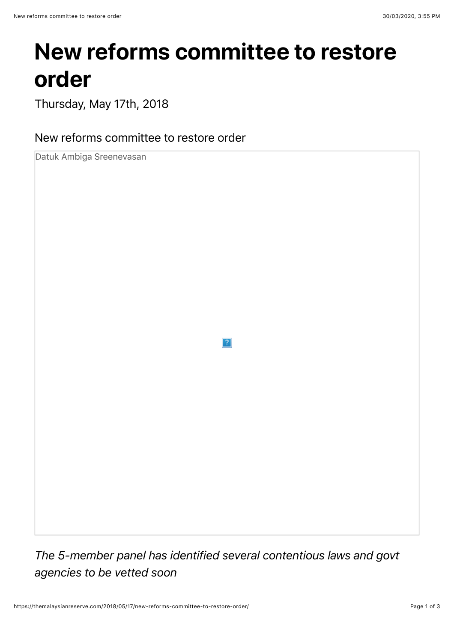## **New reforms committee to restore order**

Thursday, May 17th, 2018

New reforms committee to restore order

Datuk Ambiga Sreenevasan

 $\overline{2}$ 

*The 5-member panel has identified several contentious laws and govt agencies to be vetted soon*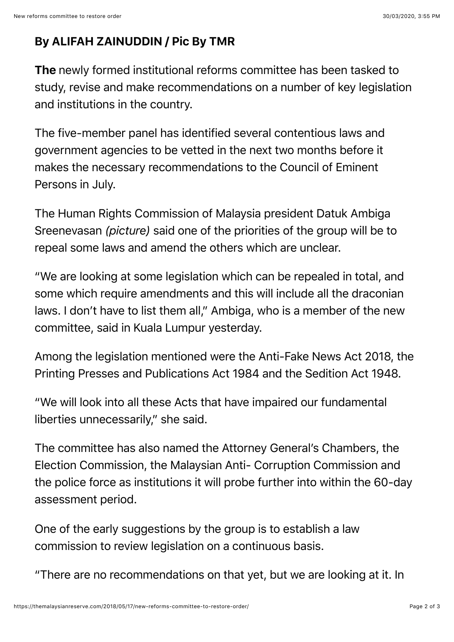## By ALIFAH ZAINUDDIN / Pic By TMR

The newly formed institutional reforms committee has been tasked to study, revise and make recommendations on a number of key legislation and institutions in the country.

The five-member panel has identified several contentious laws and government agencies to be vetted in the next two months before it makes the necessary recommendations to the Council of Eminent Persons in July.

The Human Rights Commission of Malaysia president Datuk Ambiga Sreenevasan *(picture)* said one of the priorities of the group will be to repeal some laws and amend the others which are unclear.

"We are looking at some legislation which can be repealed in total, and some which require amendments and this will include all the draconian laws. I don't have to list them all," Ambiga, who is a member of the new committee, said in Kuala Lumpur yesterday.

Among the legislation mentioned were the Anti-Fake News Act 2018, the Printing Presses and Publications Act 1984 and the Sedition Act 1948.

"We will look into all these Acts that have impaired our fundamental liberties unnecessarily," she said.

The committee has also named the Attorney General's Chambers, the Election Commission, the Malaysian Anti- Corruption Commission and the police force as institutions it will probe further into within the 60-day assessment period.

One of the early suggestions by the group is to establish a law commission to review legislation on a continuous basis.

"There are no recommendations on that yet, but we are looking at it. In